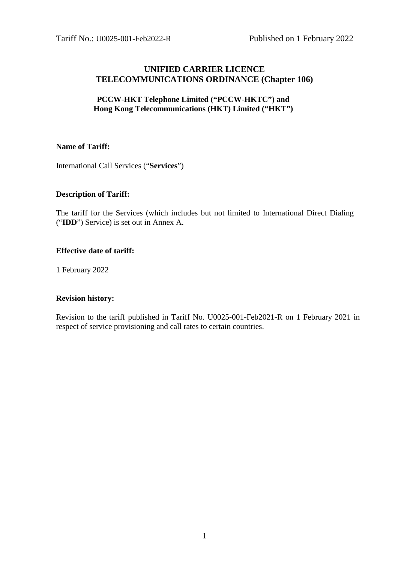# **UNIFIED CARRIER LICENCE TELECOMMUNICATIONS ORDINANCE (Chapter 106)**

# **PCCW-HKT Telephone Limited ("PCCW-HKTC") and Hong Kong Telecommunications (HKT) Limited ("HKT")**

## **Name of Tariff:**

International Call Services ("**Services**")

## **Description of Tariff:**

The tariff for the Services (which includes but not limited to International Direct Dialing ("**IDD**") Service) is set out in Annex A.

#### **Effective date of tariff:**

1 February 2022

#### **Revision history:**

Revision to the tariff published in Tariff No. U0025-001-Feb2021-R on 1 February 2021 in respect of service provisioning and call rates to certain countries.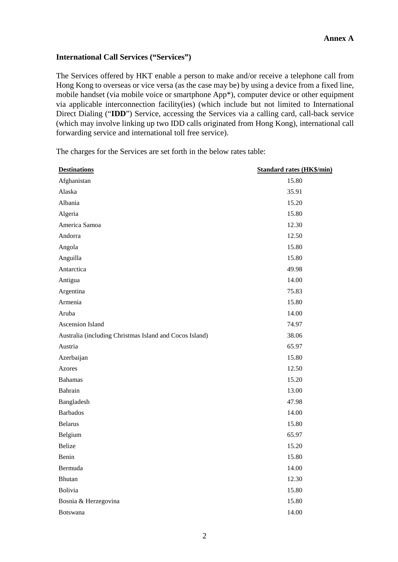#### **International Call Services ("Services")**

The Services offered by HKT enable a person to make and/or receive a telephone call from Hong Kong to overseas or vice versa (as the case may be) by using a device from a fixed line, mobile handset (via mobile voice or smartphone App\*), computer device or other equipment via applicable interconnection facility(ies) (which include but not limited to International Direct Dialing ("**IDD**") Service, accessing the Services via a calling card, call-back service (which may involve linking up two IDD calls originated from Hong Kong), international call forwarding service and international toll free service).

| <b>Destinations</b>                                     | <b>Standard rates (HK\$/min)</b> |
|---------------------------------------------------------|----------------------------------|
| Afghanistan                                             | 15.80                            |
| Alaska                                                  | 35.91                            |
| Albania                                                 | 15.20                            |
| Algeria                                                 | 15.80                            |
| America Samoa                                           | 12.30                            |
| Andorra                                                 | 12.50                            |
| Angola                                                  | 15.80                            |
| Anguilla                                                | 15.80                            |
| Antarctica                                              | 49.98                            |
| Antigua                                                 | 14.00                            |
| Argentina                                               | 75.83                            |
| Armenia                                                 | 15.80                            |
| Aruba                                                   | 14.00                            |
| Ascension Island                                        | 74.97                            |
| Australia (including Christmas Island and Cocos Island) | 38.06                            |
| Austria                                                 | 65.97                            |
| Azerbaijan                                              | 15.80                            |
| Azores                                                  | 12.50                            |
| <b>Bahamas</b>                                          | 15.20                            |
| Bahrain                                                 | 13.00                            |
| Bangladesh                                              | 47.98                            |
| <b>Barbados</b>                                         | 14.00                            |
| <b>Belarus</b>                                          | 15.80                            |
| Belgium                                                 | 65.97                            |
| Belize                                                  | 15.20                            |
| Benin                                                   | 15.80                            |
| Bermuda                                                 | 14.00                            |
| <b>Bhutan</b>                                           | 12.30                            |
| Bolivia                                                 | 15.80                            |
| Bosnia & Herzegovina                                    | 15.80                            |
| <b>Botswana</b>                                         | 14.00                            |

The charges for the Services are set forth in the below rates table: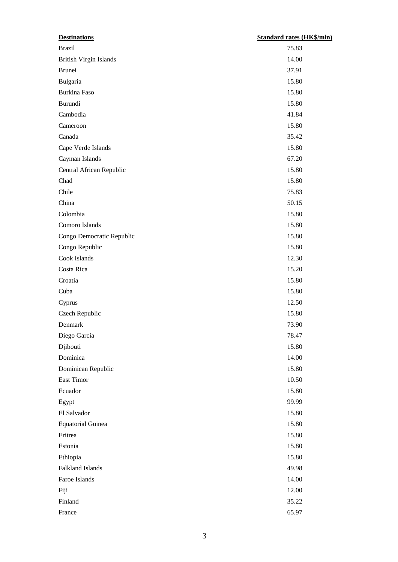| <b>Destinations</b>           | <b>Standard rates (HK\$/min)</b> |
|-------------------------------|----------------------------------|
| <b>Brazil</b>                 | 75.83                            |
| <b>British Virgin Islands</b> | 14.00                            |
| <b>Brunei</b>                 | 37.91                            |
| Bulgaria                      | 15.80                            |
| Burkina Faso                  | 15.80                            |
| Burundi                       | 15.80                            |
| Cambodia                      | 41.84                            |
| Cameroon                      | 15.80                            |
| Canada                        | 35.42                            |
| Cape Verde Islands            | 15.80                            |
| Cayman Islands                | 67.20                            |
| Central African Republic      | 15.80                            |
| Chad                          | 15.80                            |
| Chile                         | 75.83                            |
| China                         | 50.15                            |
| Colombia                      | 15.80                            |
| Comoro Islands                | 15.80                            |
| Congo Democratic Republic     | 15.80                            |
| Congo Republic                | 15.80                            |
| Cook Islands                  | 12.30                            |
| Costa Rica                    | 15.20                            |
| Croatia                       | 15.80                            |
| Cuba                          | 15.80                            |
| Cyprus                        | 12.50                            |
| Czech Republic                | 15.80                            |
| Denmark                       | 73.90                            |
| Diego Garcia                  | 78.47                            |
| Djibouti                      | 15.80                            |
| Dominica                      | 14.00                            |
| Dominican Republic            | 15.80                            |
| East Timor                    | 10.50                            |
| Ecuador                       | 15.80                            |
| Egypt                         | 99.99                            |
| El Salvador                   | 15.80                            |
| <b>Equatorial Guinea</b>      | 15.80                            |
| Eritrea                       | 15.80                            |
| Estonia                       | 15.80                            |
| Ethiopia                      | 15.80                            |
| Falkland Islands              | 49.98                            |
| Faroe Islands                 | 14.00                            |
| Fiji                          | 12.00                            |
| Finland                       | 35.22                            |
| France                        | 65.97                            |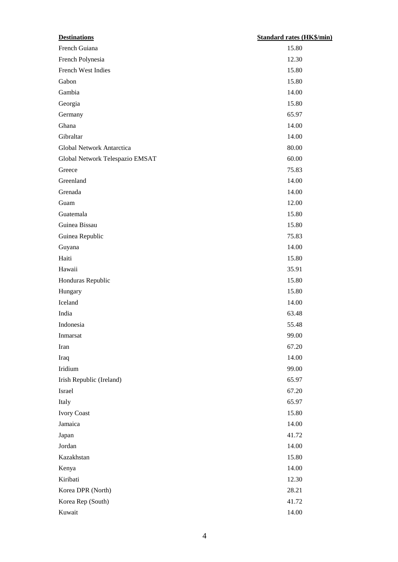| <b>Destinations</b>             | <b>Standard rates (HK\$/min)</b> |
|---------------------------------|----------------------------------|
| French Guiana                   | 15.80                            |
| French Polynesia                | 12.30                            |
| French West Indies              | 15.80                            |
| Gabon                           | 15.80                            |
| Gambia                          | 14.00                            |
| Georgia                         | 15.80                            |
| Germany                         | 65.97                            |
| Ghana                           | 14.00                            |
| Gibraltar                       | 14.00                            |
| Global Network Antarctica       | 80.00                            |
| Global Network Telespazio EMSAT | 60.00                            |
| Greece                          | 75.83                            |
| Greenland                       | 14.00                            |
| Grenada                         | 14.00                            |
| Guam                            | 12.00                            |
| Guatemala                       | 15.80                            |
| Guinea Bissau                   | 15.80                            |
| Guinea Republic                 | 75.83                            |
| Guyana                          | 14.00                            |
| Haiti                           | 15.80                            |
| Hawaii                          | 35.91                            |
| Honduras Republic               | 15.80                            |
| Hungary                         | 15.80                            |
| Iceland                         | 14.00                            |
| India                           | 63.48                            |
| Indonesia                       | 55.48                            |
| Inmarsat                        | 99.00                            |
| Iran                            | 67.20                            |
| Iraq                            | 14.00                            |
| Iridium                         | 99.00                            |
| Irish Republic (Ireland)        | 65.97                            |
| Israel                          | 67.20                            |
| Italy                           | 65.97                            |
| <b>Ivory Coast</b>              | 15.80                            |
| Jamaica                         | 14.00                            |
| Japan                           | 41.72                            |
| Jordan                          | 14.00                            |
| Kazakhstan                      | 15.80                            |
| Kenya                           | 14.00                            |
| Kiribati                        | 12.30                            |
| Korea DPR (North)               | 28.21                            |
| Korea Rep (South)               | 41.72                            |
| Kuwait                          | 14.00                            |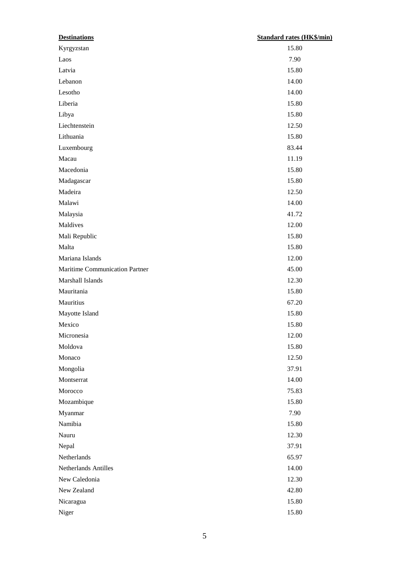| <b>Destinations</b>            | <b>Standard rates (HK\$/min)</b> |
|--------------------------------|----------------------------------|
| Kyrgyzstan                     | 15.80                            |
| Laos                           | 7.90                             |
| Latvia                         | 15.80                            |
| Lebanon                        | 14.00                            |
| Lesotho                        | 14.00                            |
| Liberia                        | 15.80                            |
| Libya                          | 15.80                            |
| Liechtenstein                  | 12.50                            |
| Lithuania                      | 15.80                            |
| Luxembourg                     | 83.44                            |
| Macau                          | 11.19                            |
| Macedonia                      | 15.80                            |
| Madagascar                     | 15.80                            |
| Madeira                        | 12.50                            |
| Malawi                         | 14.00                            |
| Malaysia                       | 41.72                            |
| Maldives                       | 12.00                            |
| Mali Republic                  | 15.80                            |
| Malta                          | 15.80                            |
| Mariana Islands                | 12.00                            |
| Maritime Communication Partner | 45.00                            |
| Marshall Islands               | 12.30                            |
| Mauritania                     | 15.80                            |
| Mauritius                      | 67.20                            |
| Mayotte Island                 | 15.80                            |
| Mexico                         | 15.80                            |
| Micronesia                     | 12.00                            |
| Moldova                        | 15.80                            |
| Monaco                         | 12.50                            |
| Mongolia                       | 37.91                            |
| Montserrat                     | 14.00                            |
| Morocco                        | 75.83                            |
| Mozambique                     | 15.80                            |
| Myanmar                        | 7.90                             |
| Namibia                        | 15.80                            |
| Nauru                          | 12.30                            |
| Nepal                          | 37.91                            |
| Netherlands                    | 65.97                            |
| Netherlands Antilles           | 14.00                            |
| New Caledonia                  | 12.30                            |
| New Zealand                    | 42.80                            |
| Nicaragua                      | 15.80                            |
| Niger                          | 15.80                            |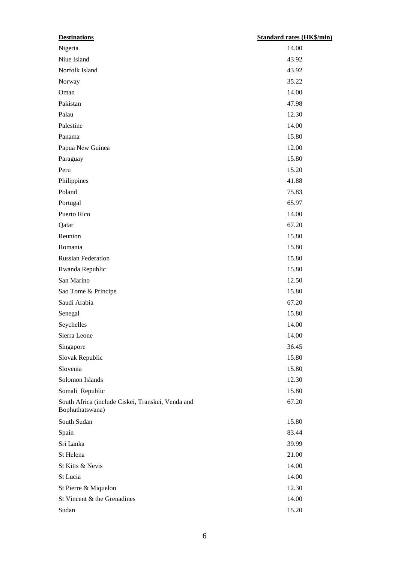| <b>Destinations</b>                                                  | <b>Standard rates (HK\$/min)</b> |
|----------------------------------------------------------------------|----------------------------------|
| Nigeria                                                              | 14.00                            |
| Niue Island                                                          | 43.92                            |
| Norfolk Island                                                       | 43.92                            |
| Norway                                                               | 35.22                            |
| Oman                                                                 | 14.00                            |
| Pakistan                                                             | 47.98                            |
| Palau                                                                | 12.30                            |
| Palestine                                                            | 14.00                            |
| Panama                                                               | 15.80                            |
| Papua New Guinea                                                     | 12.00                            |
| Paraguay                                                             | 15.80                            |
| Peru                                                                 | 15.20                            |
| Philippines                                                          | 41.88                            |
| Poland                                                               | 75.83                            |
| Portugal                                                             | 65.97                            |
| Puerto Rico                                                          | 14.00                            |
| Qatar                                                                | 67.20                            |
| Reunion                                                              | 15.80                            |
| Romania                                                              | 15.80                            |
| <b>Russian Federation</b>                                            | 15.80                            |
| Rwanda Republic                                                      | 15.80                            |
| San Marino                                                           | 12.50                            |
| Sao Tome & Principe                                                  | 15.80                            |
| Saudi Arabia                                                         | 67.20                            |
| Senegal                                                              | 15.80                            |
| Seychelles                                                           | 14.00                            |
| Sierra Leone                                                         | 14.00                            |
| Singapore                                                            | 36.45                            |
| Slovak Republic                                                      | 15.80                            |
| Slovenia                                                             | 15.80                            |
| Solomon Islands                                                      | 12.30                            |
| Somali Republic                                                      | 15.80                            |
| South Africa (include Ciskei, Transkei, Venda and<br>Bophuthatswana) | 67.20                            |
| South Sudan                                                          | 15.80                            |
| Spain                                                                | 83.44                            |
| Sri Lanka                                                            | 39.99                            |
| St Helena                                                            | 21.00                            |
| St Kitts & Nevis                                                     | 14.00                            |
| St Lucia                                                             | 14.00                            |
| St Pierre & Miquelon                                                 | 12.30                            |
| St Vincent & the Grenadines                                          | 14.00                            |
| Sudan                                                                | 15.20                            |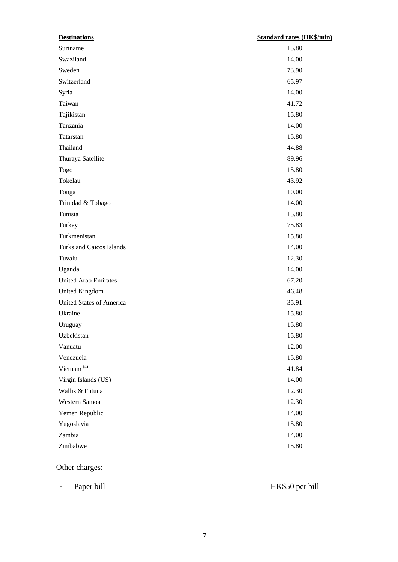| <b>Destinations</b>         | <b>Standard rates (HK\$/min)</b> |
|-----------------------------|----------------------------------|
| Suriname                    | 15.80                            |
| Swaziland                   | 14.00                            |
| Sweden                      | 73.90                            |
| Switzerland                 | 65.97                            |
| Syria                       | 14.00                            |
| Taiwan                      | 41.72                            |
| Tajikistan                  | 15.80                            |
| Tanzania                    | 14.00                            |
| Tatarstan                   | 15.80                            |
| Thailand                    | 44.88                            |
| Thuraya Satellite           | 89.96                            |
| Togo                        | 15.80                            |
| Tokelau                     | 43.92                            |
| Tonga                       | 10.00                            |
| Trinidad & Tobago           | 14.00                            |
| Tunisia                     | 15.80                            |
| Turkey                      | 75.83                            |
| Turkmenistan                | 15.80                            |
| Turks and Caicos Islands    | 14.00                            |
| Tuvalu                      | 12.30                            |
| Uganda                      | 14.00                            |
| <b>United Arab Emirates</b> | 67.20                            |
| United Kingdom              | 46.48                            |
| United States of America    | 35.91                            |
| Ukraine                     | 15.80                            |
| Uruguay                     | 15.80                            |
| Uzbekistan                  | 15.80                            |
| Vanuatu                     | 12.00                            |
| Venezuela                   | 15.80                            |
| Vietnam <sup>(4)</sup>      | 41.84                            |
| Virgin Islands (US)         | 14.00                            |
| Wallis & Futuna             | 12.30                            |
| Western Samoa               | 12.30                            |
| Yemen Republic              | 14.00                            |
| Yugoslavia                  | 15.80                            |
| Zambia                      | 14.00                            |
| Zimbabwe                    | 15.80                            |

# Other charges:

- Paper bill HK\$50 per bill